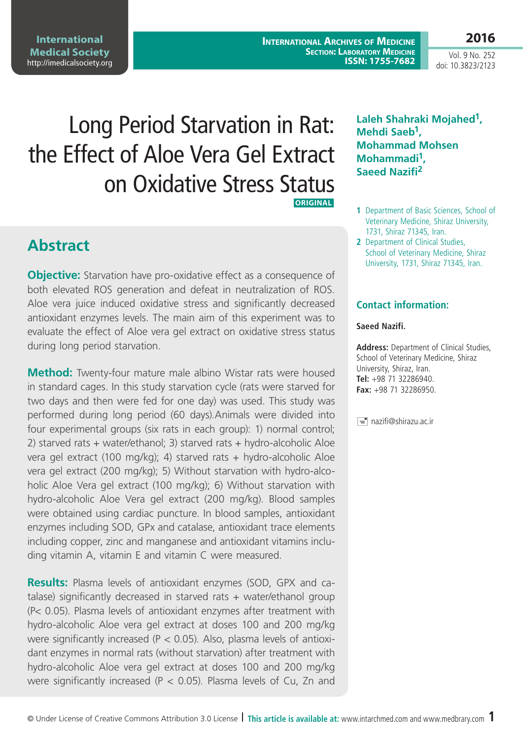**International Archives of Medicine SECTION: LABORATORY MEDICINE ISSN: 1755-7682**

Vol. 9 No. 252 doi: 10.3823/2123

**2016**

# Long Period Starvation in Rat: the Effect of Aloe Vera Gel Extract on Oxidative Stress Status  **ORIGINAL**

**Abstract**

**Objective:** Starvation have pro-oxidative effect as a consequence of both elevated ROS generation and defeat in neutralization of ROS. Aloe vera juice induced oxidative stress and significantly decreased antioxidant enzymes levels. The main aim of this experiment was to evaluate the effect of Aloe vera gel extract on oxidative stress status during long period starvation.

**Method:** Twenty-four mature male albino Wistar rats were housed in standard cages. In this study starvation cycle (rats were starved for two days and then were fed for one day) was used. This study was performed during long period (60 days).Animals were divided into four experimental groups (six rats in each group): 1) normal control; 2) starved rats + water/ethanol; 3) starved rats + hydro-alcoholic Aloe vera gel extract (100 mg/kg); 4) starved rats + hydro-alcoholic Aloe vera gel extract (200 mg/kg); 5) Without starvation with hydro-alcoholic Aloe Vera gel extract (100 mg/kg); 6) Without starvation with hydro-alcoholic Aloe Vera gel extract (200 mg/kg). Blood samples were obtained using cardiac puncture. In blood samples, antioxidant enzymes including SOD, GPx and catalase, antioxidant trace elements including copper, zinc and manganese and antioxidant vitamins including vitamin A, vitamin E and vitamin C were measured.

**Results:** Plasma levels of antioxidant enzymes (SOD, GPX and catalase) significantly decreased in starved rats + water/ethanol group (P< 0.05). Plasma levels of antioxidant enzymes after treatment with hydro-alcoholic Aloe vera gel extract at doses 100 and 200 mg/kg were significantly increased (P < 0.05). Also, plasma levels of antioxidant enzymes in normal rats (without starvation) after treatment with hydro-alcoholic Aloe vera gel extract at doses 100 and 200 mg/kg were significantly increased ( $P < 0.05$ ). Plasma levels of Cu, Zn and

#### **Laleh Shahraki Mojahed1, Mehdi Saeb1, Mohammad Mohsen Mohammadi1, Saeed Nazifi2**

- **1** Department of Basic Sciences, School of Veterinary Medicine, Shiraz University, 1731, Shiraz 71345, Iran.
- **2** Department of Clinical Studies, School of Veterinary Medicine, Shiraz University, 1731, Shiraz 71345, Iran.

#### **Contact information:**

#### **Saeed Nazifi.**

**Address:** Department of Clinical Studies, School of Veterinary Medicine, Shiraz University, Shiraz, Iran. **Tel:** +98 71 32286940. **Fax:** +98 71 32286950.

nazifi@shirazu.ac.ir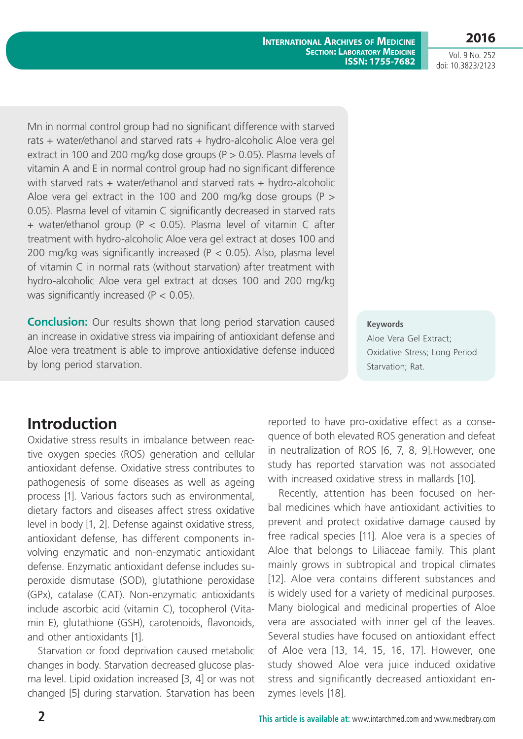**2016**

Vol. 9 No. 252 doi: 10.3823/2123

Mn in normal control group had no significant difference with starved rats + water/ethanol and starved rats + hydro-alcoholic Aloe vera gel extract in 100 and 200 mg/kg dose groups ( $P > 0.05$ ). Plasma levels of vitamin A and E in normal control group had no significant difference with starved rats + water/ethanol and starved rats + hydro-alcoholic Aloe vera gel extract in the 100 and 200 mg/kg dose groups ( $P >$ 0.05). Plasma level of vitamin C significantly decreased in starved rats + water/ethanol group (P < 0.05). Plasma level of vitamin C after treatment with hydro-alcoholic Aloe vera gel extract at doses 100 and 200 mg/kg was significantly increased ( $P < 0.05$ ). Also, plasma level of vitamin C in normal rats (without starvation) after treatment with hydro-alcoholic Aloe vera gel extract at doses 100 and 200 mg/kg was significantly increased (P < 0.05).

**Conclusion:** Our results shown that long period starvation caused an increase in oxidative stress via impairing of antioxidant defense and Aloe vera treatment is able to improve antioxidative defense induced by long period starvation.

**Keywords**

Aloe Vera Gel Extract; Oxidative Stress; Long Period Starvation; Rat.

## **Introduction**

Oxidative stress results in imbalance between reactive oxygen species (ROS) generation and cellular antioxidant defense. Oxidative stress contributes to pathogenesis of some diseases as well as ageing process [1]. Various factors such as environmental, dietary factors and diseases affect stress oxidative level in body [1, 2]. Defense against oxidative stress, antioxidant defense, has different components involving enzymatic and non-enzymatic antioxidant defense. Enzymatic antioxidant defense includes superoxide dismutase (SOD), glutathione peroxidase (GPx), catalase (CAT). Non-enzymatic antioxidants include ascorbic acid (vitamin C), tocopherol (Vitamin E), glutathione (GSH), carotenoids, flavonoids, and other antioxidants [1].

Starvation or food deprivation caused metabolic changes in body. Starvation decreased glucose plasma level. Lipid oxidation increased [3, 4] or was not changed [5] during starvation. Starvation has been reported to have pro-oxidative effect as a consequence of both elevated ROS generation and defeat in neutralization of ROS [6, 7, 8, 9].However, one study has reported starvation was not associated with increased oxidative stress in mallards [10].

Recently, attention has been focused on herbal medicines which have antioxidant activities to prevent and protect oxidative damage caused by free radical species [11]. Aloe vera is a species of Aloe that belongs to Liliaceae family. This plant mainly grows in subtropical and tropical climates [12]. Aloe vera contains different substances and is widely used for a variety of medicinal purposes. Many biological and medicinal properties of Aloe vera are associated with inner gel of the leaves. Several studies have focused on antioxidant effect of Aloe vera [13, 14, 15, 16, 17]. However, one study showed Aloe vera juice induced oxidative stress and significantly decreased antioxidant enzymes levels [18].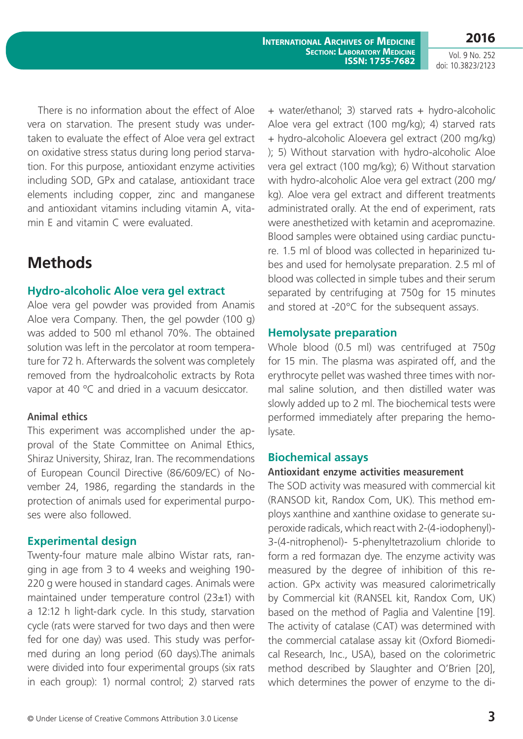There is no information about the effect of Aloe vera on starvation. The present study was undertaken to evaluate the effect of Aloe vera gel extract on oxidative stress status during long period starvation. For this purpose, antioxidant enzyme activities including SOD, GPx and catalase, antioxidant trace elements including copper, zinc and manganese and antioxidant vitamins including vitamin A, vitamin E and vitamin C were evaluated.

## **Methods**

#### **Hydro-alcoholic Aloe vera gel extract**

Aloe vera gel powder was provided from Anamis Aloe vera Company. Then, the gel powder (100 g) was added to 500 ml ethanol 70%. The obtained solution was left in the percolator at room temperature for 72 h. Afterwards the solvent was completely removed from the hydroalcoholic extracts by Rota vapor at 40 °C and dried in a vacuum desiccator.

#### **Animal ethics**

This experiment was accomplished under the approval of the State Committee on Animal Ethics, Shiraz University, Shiraz, Iran. The recommendations of European Council Directive (86/609/EC) of November 24, 1986, regarding the standards in the protection of animals used for experimental purposes were also followed.

### **Experimental design**

Twenty-four mature male albino Wistar rats, ranging in age from 3 to 4 weeks and weighing 190- 220 g were housed in standard cages. Animals were maintained under temperature control (23±1) with a 12:12 h light-dark cycle. In this study, starvation cycle (rats were starved for two days and then were fed for one day) was used. This study was performed during an long period (60 days).The animals were divided into four experimental groups (six rats in each group): 1) normal control; 2) starved rats + water/ethanol; 3) starved rats + hydro-alcoholic Aloe vera gel extract (100 mg/kg); 4) starved rats + hydro-alcoholic Aloevera gel extract (200 mg/kg) ); 5) Without starvation with hydro-alcoholic Aloe vera gel extract (100 mg/kg); 6) Without starvation with hydro-alcoholic Aloe vera gel extract (200 mg/ kg). Aloe vera gel extract and different treatments administrated orally. At the end of experiment, rats were anesthetized with ketamin and acepromazine. Blood samples were obtained using cardiac puncture. 1.5 ml of blood was collected in heparinized tubes and used for hemolysate preparation. 2.5 ml of blood was collected in simple tubes and their serum separated by centrifuging at 750g for 15 minutes and stored at -20°C for the subsequent assays.

#### **Hemolysate preparation**

Whole blood (0.5 ml) was centrifuged at 750*g* for 15 min. The plasma was aspirated off, and the erythrocyte pellet was washed three times with normal saline solution, and then distilled water was slowly added up to 2 ml. The biochemical tests were performed immediately after preparing the hemolysate.

#### **Biochemical assays**

#### **Antioxidant enzyme activities measurement**

The SOD activity was measured with commercial kit (RANSOD kit, Randox Com, UK). This method employs xanthine and xanthine oxidase to generate superoxide radicals, which react with 2-(4-iodophenyl)- 3-(4-nitrophenol)- 5-phenyltetrazolium chloride to form a red formazan dye. The enzyme activity was measured by the degree of inhibition of this reaction. GPx activity was measured calorimetrically by Commercial kit (RANSEL kit, Randox Com, UK) based on the method of Paglia and Valentine [19]. The activity of catalase (CAT) was determined with the commercial catalase assay kit (Oxford Biomedical Research, Inc., USA), based on the colorimetric method described by Slaughter and O'Brien [20], which determines the power of enzyme to the di-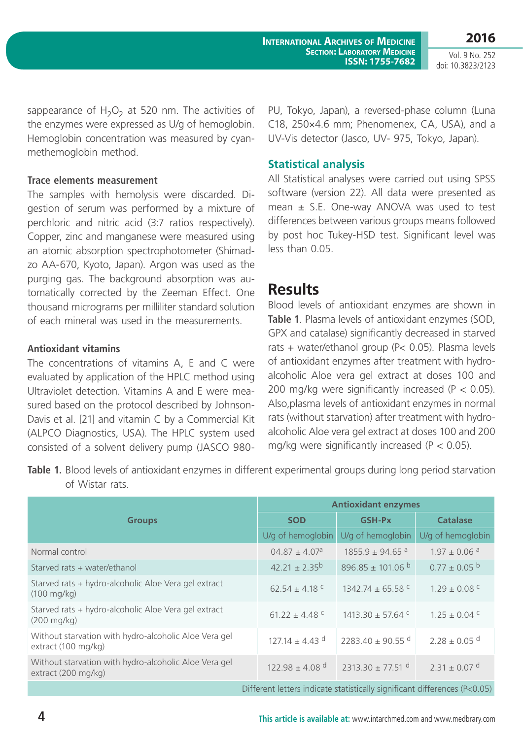sappearance of  $H_2O_2$  at 520 nm. The activities of the enzymes were expressed as U/g of hemoglobin. Hemoglobin concentration was measured by cyanmethemoglobin method.

#### **Trace elements measurement**

The samples with hemolysis were discarded. Digestion of serum was performed by a mixture of perchloric and nitric acid (3:7 ratios respectively). Copper, zinc and manganese were measured using an atomic absorption spectrophotometer (Shimadzo AA-670, Kyoto, Japan). Argon was used as the purging gas. The background absorption was automatically corrected by the Zeeman Effect. One thousand micrograms per milliliter standard solution of each mineral was used in the measurements.

#### **Antioxidant vitamins**

The concentrations of vitamins A, E and C were evaluated by application of the HPLC method using Ultraviolet detection. Vitamins A and E were measured based on the protocol described by Johnson-Davis et al. [21] and vitamin C by a Commercial Kit (ALPCO Diagnostics, USA). The HPLC system used consisted of a solvent delivery pump (JASCO 980PU, Tokyo, Japan), a reversed-phase column (Luna C18, 250×4.6 mm; Phenomenex, CA, USA), and a UV-Vis detector (Jasco, UV- 975, Tokyo, Japan).

#### **Statistical analysis**

All Statistical analyses were carried out using SPSS software (version 22). All data were presented as mean  $\pm$  S.E. One-way ANOVA was used to test differences between various groups means followed by post hoc Tukey-HSD test. Significant level was less than 0.05.

### **Results**

Blood levels of antioxidant enzymes are shown in **Table 1**. Plasma levels of antioxidant enzymes (SOD, GPX and catalase) significantly decreased in starved rats + water/ethanol group (P< 0.05). Plasma levels of antioxidant enzymes after treatment with hydroalcoholic Aloe vera gel extract at doses 100 and 200 mg/kg were significantly increased ( $P < 0.05$ ). Also,plasma levels of antioxidant enzymes in normal rats (without starvation) after treatment with hydroalcoholic Aloe vera gel extract at doses 100 and 200 mg/kg were significantly increased ( $P < 0.05$ ).

**Table 1.** Blood levels of antioxidant enzymes in different experimental groups during long period starvation of Wistar rats.

|                                                                               | <b>Antioxidant enzymes</b>     |                                  |                              |  |
|-------------------------------------------------------------------------------|--------------------------------|----------------------------------|------------------------------|--|
| <b>Groups</b>                                                                 | <b>SOD</b>                     | <b>GSH-Px</b>                    | <b>Catalase</b>              |  |
|                                                                               | U/g of hemoglobin              | U/g of hemoglobin                | U/g of hemoglobin            |  |
| Normal control                                                                | $04.87 \pm 4.07$ <sup>a</sup>  | $1855.9 \pm 94.65$ <sup>a</sup>  | $1.97 \pm 0.06$ <sup>a</sup> |  |
| Starved rats + water/ethanol                                                  | $42.21 \pm 2.35^{\circ}$       | $896.85 \pm 101.06$ b            | $0.77 \pm 0.05$ b            |  |
| Starved rats + hydro-alcoholic Aloe Vera gel extract<br>$(100 \text{ mg/kg})$ | 62.54 $\pm$ 4.18 °             | $1342.74 \pm 65.58$ C            | $1.29 \pm 0.08$ c            |  |
| Starved rats + hydro-alcoholic Aloe Vera gel extract<br>$(200 \text{ mg/kg})$ | 61.22 $\pm$ 4.48 °             | $1413.30 \pm 57.64$ c            | $1.25 \pm 0.04$ c            |  |
| Without starvation with hydro-alcoholic Aloe Vera gel<br>extract (100 mg/kg)  | $127.14 \pm 4.43$ d            | 2283.40 ± 90.55 <sup>d</sup>     | $2.28 \pm 0.05$ <sup>d</sup> |  |
| Without starvation with hydro-alcoholic Aloe Vera gel<br>extract (200 mg/kg)  | $122.98 \pm 4.08$ <sup>d</sup> | $2313.30 \pm 77.51$ <sup>d</sup> | $2.31 \pm 0.07$ d            |  |
| Different letters indicate statistically significant differences (P<0.05)     |                                |                                  |                              |  |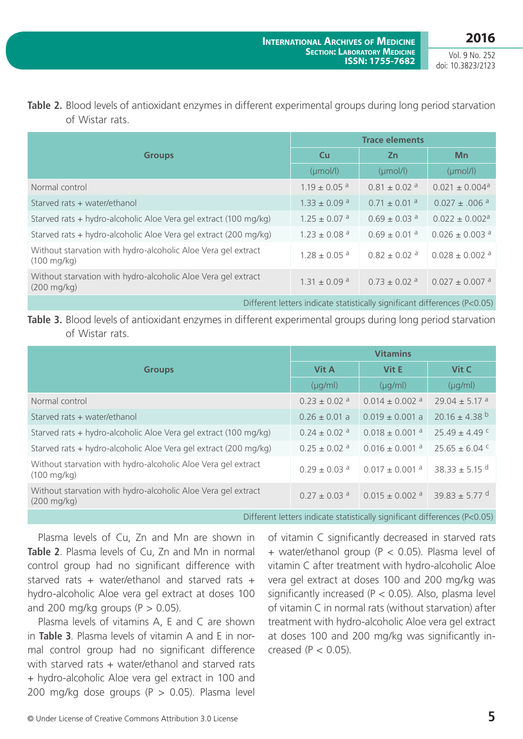### **Table 2.** Blood levels of antioxidant enzymes in different experimental groups during long period starvation of Wistar rats.

|                                                                                        | <b>Trace elements</b>        |                              |                                |  |
|----------------------------------------------------------------------------------------|------------------------------|------------------------------|--------------------------------|--|
| <b>Groups</b>                                                                          | <b>Cu</b>                    | <b>Zn</b>                    | Mn                             |  |
|                                                                                        | $(\mu \text{mol/l})$         | $(\mu mol/l)$                | $(\mu \text{mol/l})$           |  |
| Normal control                                                                         | $1.19 \pm 0.05$ <sup>a</sup> | $0.81 + 0.02$ <sup>a</sup>   | $0.021 \pm 0.004$ <sup>a</sup> |  |
| Starved rats + water/ethanol                                                           | $1.33 \pm 0.09$ <sup>a</sup> | $0.71 \pm 0.01$ <sup>a</sup> | $0.027 \pm .006$ <sup>a</sup>  |  |
| Starved rats + hydro-alcoholic Aloe Vera gel extract (100 mg/kg)                       | $1.25 \pm 0.07$ <sup>a</sup> | $0.69 \pm 0.03$ <sup>a</sup> | $0.022 \pm 0.002$ <sup>a</sup> |  |
| Starved rats + hydro-alcoholic Aloe Vera gel extract (200 mg/kg)                       | $1.23 \pm 0.08$ <sup>a</sup> | $0.69 \pm 0.01$ <sup>a</sup> | $0.026 \pm 0.003$ <sup>a</sup> |  |
| Without starvation with hydro-alcoholic Aloe Vera gel extract<br>$(100 \text{ mg/kg})$ | $1.28 \pm 0.05$ <sup>a</sup> | $0.82 + 0.02$ <sup>a</sup>   | $0.028 \pm 0.002$ <sup>a</sup> |  |
| Without starvation with hydro-alcoholic Aloe Vera gel extract<br>$(200 \text{ mg/kg})$ | $1.31 \pm 0.09$ <sup>a</sup> | $0.73 \pm 0.02$ <sup>a</sup> | $0.027 \pm 0.007$ <sup>a</sup> |  |
| Different letters indicate statistically significant differences (P<0.05)              |                              |                              |                                |  |

### **Table 3.** Blood levels of antioxidant enzymes in different experimental groups during long period starvation of Wistar rats.

|                                                                                        | <b>Vitamins</b>              |                                |                               |  |
|----------------------------------------------------------------------------------------|------------------------------|--------------------------------|-------------------------------|--|
| <b>Groups</b>                                                                          | <b>Vit A</b>                 | Vit E                          | Vit C                         |  |
|                                                                                        | $(\mu q/ml)$                 | $(\mu q/ml)$                   | $(\mu q/ml)$                  |  |
| Normal control                                                                         | $0.23 \pm 0.02$ <sup>a</sup> | $0.014 \pm 0.002$ <sup>a</sup> | $29.04 \pm 5.17$ <sup>a</sup> |  |
| Starved rats + water/ethanol                                                           | $0.26 \pm 0.01$ a            | $0.019 \pm 0.001$ a            | $20.16 \pm 4.38$ <sup>b</sup> |  |
| Starved rats + hydro-alcoholic Aloe Vera gel extract (100 mg/kg)                       | $0.24 \pm 0.02$ <sup>a</sup> | $0.018 \pm 0.001$ <sup>a</sup> | $25.49 \pm 4.49$ C            |  |
| Starved rats + hydro-alcoholic Aloe Vera gel extract (200 mg/kg)                       | $0.25 \pm 0.02$ <sup>a</sup> | $0.016 \pm 0.001$ <sup>a</sup> | $25.65 \pm 6.04$ C            |  |
| Without starvation with hydro-alcoholic Aloe Vera gel extract<br>$(100 \text{ mg/kg})$ | $0.29 \pm 0.03$ <sup>a</sup> | $0.017 \pm 0.001$ <sup>a</sup> | 38.33 $\pm$ 5.15 <sup>d</sup> |  |
| Without starvation with hydro-alcoholic Aloe Vera gel extract<br>$(200 \text{ mg/kg})$ | $0.27 \pm 0.03$ <sup>a</sup> | $0.015 \pm 0.002$ <sup>a</sup> | 39.83 ± 5.77 <sup>d</sup>     |  |

Different letters indicate statistically significant differences (P<0.05)

Plasma levels of Cu, Zn and Mn are shown in **Table 2**. Plasma levels of Cu, Zn and Mn in normal control group had no significant difference with starved rats + water/ethanol and starved rats + hydro-alcoholic Aloe vera gel extract at doses 100 and 200 mg/kg groups ( $P > 0.05$ ).

Plasma levels of vitamins A, E and C are shown in **Table 3**. Plasma levels of vitamin A and E in normal control group had no significant difference with starved rats + water/ethanol and starved rats + hydro-alcoholic Aloe vera gel extract in 100 and 200 mg/kg dose groups  $(P > 0.05)$ . Plasma level of vitamin C significantly decreased in starved rats + water/ethanol group (P < 0.05). Plasma level of vitamin C after treatment with hydro-alcoholic Aloe vera gel extract at doses 100 and 200 mg/kg was significantly increased ( $P < 0.05$ ). Also, plasma level of vitamin C in normal rats (without starvation) after treatment with hydro-alcoholic Aloe vera gel extract at doses 100 and 200 mg/kg was significantly increased  $(P < 0.05)$ .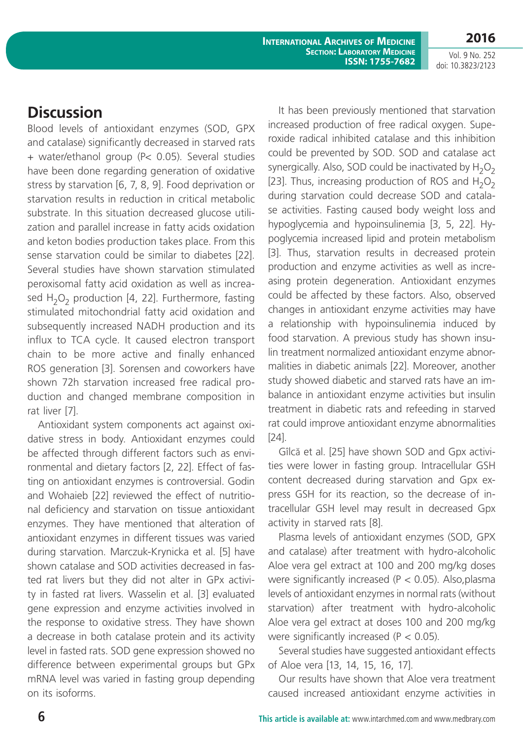**2016** Vol. 9 No. 252

doi: 10.3823/2123

### **Discussion**

Blood levels of antioxidant enzymes (SOD, GPX and catalase) significantly decreased in starved rats + water/ethanol group (P< 0.05). Several studies have been done regarding generation of oxidative stress by starvation [6, 7, 8, 9]. Food deprivation or starvation results in reduction in critical metabolic substrate. In this situation decreased glucose utilization and parallel increase in fatty acids oxidation and keton bodies production takes place. From this sense starvation could be similar to diabetes [22]. Several studies have shown starvation stimulated peroxisomal fatty acid oxidation as well as increased  $H_2O_2$  production [4, 22]. Furthermore, fasting stimulated mitochondrial fatty acid oxidation and subsequently increased NADH production and its influx to TCA cycle. It caused electron transport chain to be more active and finally enhanced ROS generation [3]. Sorensen and coworkers have shown 72h starvation increased free radical production and changed membrane composition in rat liver [7].

Antioxidant system components act against oxidative stress in body. Antioxidant enzymes could be affected through different factors such as environmental and dietary factors [2, 22]. Effect of fasting on antioxidant enzymes is controversial. Godin and Wohaieb [22] reviewed the effect of nutritional deficiency and starvation on tissue antioxidant enzymes. They have mentioned that alteration of antioxidant enzymes in different tissues was varied during starvation. Marczuk-Krynicka et al. [5] have shown catalase and SOD activities decreased in fasted rat livers but they did not alter in GPx activity in fasted rat livers. Wasselin et al. [3] evaluated gene expression and enzyme activities involved in the response to oxidative stress. They have shown a decrease in both catalase protein and its activity level in fasted rats. SOD gene expression showed no difference between experimental groups but GPx mRNA level was varied in fasting group depending on its isoforms.

It has been previously mentioned that starvation increased production of free radical oxygen. Superoxide radical inhibited catalase and this inhibition could be prevented by SOD. SOD and catalase act synergically. Also, SOD could be inactivated by  $H_2O_2$ [23]. Thus, increasing production of ROS and  $H_2O_2$ during starvation could decrease SOD and catalase activities. Fasting caused body weight loss and hypoglycemia and hypoinsulinemia [3, 5, 22]. Hypoglycemia increased lipid and protein metabolism [3]. Thus, starvation results in decreased protein production and enzyme activities as well as increasing protein degeneration. Antioxidant enzymes could be affected by these factors. Also, observed changes in antioxidant enzyme activities may have a relationship with hypoinsulinemia induced by food starvation. A previous study has shown insulin treatment normalized antioxidant enzyme abnormalities in diabetic animals [22]. Moreover, another study showed diabetic and starved rats have an imbalance in antioxidant enzyme activities but insulin treatment in diabetic rats and refeeding in starved rat could improve antioxidant enzyme abnormalities [24].

Gîlcă et al. [25] have shown SOD and Gpx activities were lower in fasting group. Intracellular GSH content decreased during starvation and Gpx express GSH for its reaction, so the decrease of intracellular GSH level may result in decreased Gpx activity in starved rats [8].

Plasma levels of antioxidant enzymes (SOD, GPX and catalase) after treatment with hydro-alcoholic Aloe vera gel extract at 100 and 200 mg/kg doses were significantly increased ( $P < 0.05$ ). Also, plasma levels of antioxidant enzymes in normal rats (without starvation) after treatment with hydro-alcoholic Aloe vera gel extract at doses 100 and 200 mg/kg were significantly increased ( $P < 0.05$ ).

Several studies have suggested antioxidant effects of Aloe vera [13, 14, 15, 16, 17].

Our results have shown that Aloe vera treatment caused increased antioxidant enzyme activities in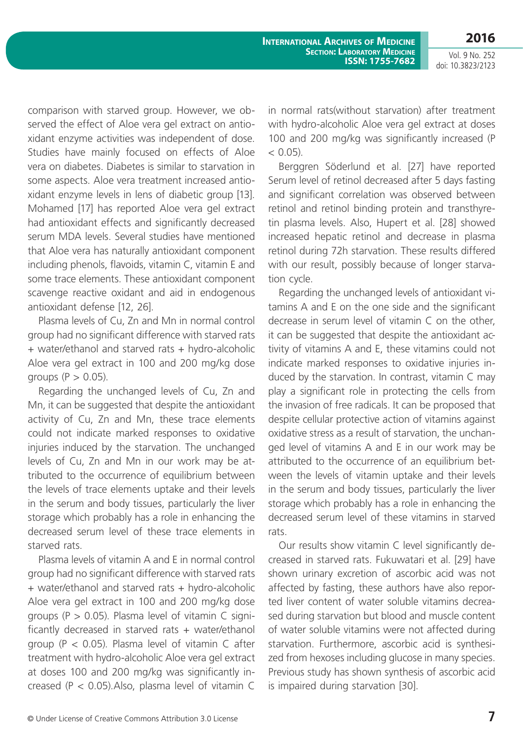**2016**

Vol. 9 No. 252 doi: 10.3823/2123

comparison with starved group. However, we observed the effect of Aloe vera gel extract on antioxidant enzyme activities was independent of dose. Studies have mainly focused on effects of Aloe vera on diabetes. Diabetes is similar to starvation in some aspects. Aloe vera treatment increased antioxidant enzyme levels in lens of diabetic group [13]. Mohamed [17] has reported Aloe vera gel extract had antioxidant effects and significantly decreased serum MDA levels. Several studies have mentioned that Aloe vera has naturally antioxidant component including phenols, flavoids, vitamin C, vitamin E and some trace elements. These antioxidant component scavenge reactive oxidant and aid in endogenous antioxidant defense [12, 26].

Plasma levels of Cu, Zn and Mn in normal control group had no significant difference with starved rats + water/ethanol and starved rats + hydro-alcoholic Aloe vera gel extract in 100 and 200 mg/kg dose groups  $(P > 0.05)$ .

Regarding the unchanged levels of Cu, Zn and Mn, it can be suggested that despite the antioxidant activity of Cu, Zn and Mn, these trace elements could not indicate marked responses to oxidative injuries induced by the starvation. The unchanged levels of Cu, Zn and Mn in our work may be attributed to the occurrence of equilibrium between the levels of trace elements uptake and their levels in the serum and body tissues, particularly the liver storage which probably has a role in enhancing the decreased serum level of these trace elements in starved rats.

Plasma levels of vitamin A and E in normal control group had no significant difference with starved rats + water/ethanol and starved rats + hydro-alcoholic Aloe vera gel extract in 100 and 200 mg/kg dose groups ( $P > 0.05$ ). Plasma level of vitamin C significantly decreased in starved rats  $+$  water/ethanol group ( $P < 0.05$ ). Plasma level of vitamin C after treatment with hydro-alcoholic Aloe vera gel extract at doses 100 and 200 mg/kg was significantly increased ( $P < 0.05$ ). Also, plasma level of vitamin C

in normal rats(without starvation) after treatment with hydro-alcoholic Aloe vera gel extract at doses 100 and 200 mg/kg was significantly increased (P  $< 0.05$ ).

Berggren Söderlund et al. [27] have reported Serum level of retinol decreased after 5 days fasting and significant correlation was observed between retinol and retinol binding protein and transthyretin plasma levels. Also, Hupert et al. [28] showed increased hepatic retinol and decrease in plasma retinol during 72h starvation. These results differed with our result, possibly because of longer starvation cycle.

Regarding the unchanged levels of antioxidant vitamins A and E on the one side and the significant decrease in serum level of vitamin C on the other, it can be suggested that despite the antioxidant activity of vitamins A and E, these vitamins could not indicate marked responses to oxidative injuries induced by the starvation. In contrast, vitamin C may play a significant role in protecting the cells from the invasion of free radicals. It can be proposed that despite cellular protective action of vitamins against oxidative stress as a result of starvation, the unchanged level of vitamins A and E in our work may be attributed to the occurrence of an equilibrium between the levels of vitamin uptake and their levels in the serum and body tissues, particularly the liver storage which probably has a role in enhancing the decreased serum level of these vitamins in starved rats.

Our results show vitamin C level significantly decreased in starved rats. Fukuwatari et al. [29] have shown urinary excretion of ascorbic acid was not affected by fasting, these authors have also reported liver content of water soluble vitamins decreased during starvation but blood and muscle content of water soluble vitamins were not affected during starvation. Furthermore, ascorbic acid is synthesized from hexoses including glucose in many species. Previous study has shown synthesis of ascorbic acid is impaired during starvation [30].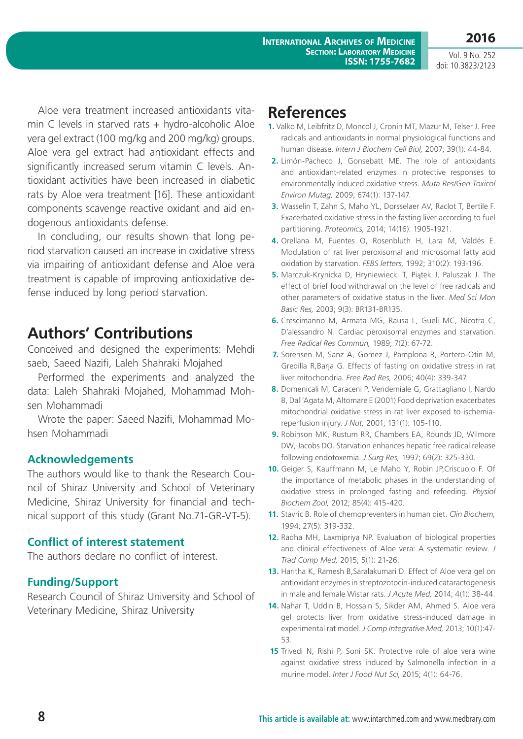**2016**

Aloe vera treatment increased antioxidants vitamin C levels in starved rats  $+$  hydro-alcoholic Aloe vera gel extract (100 mg/kg and 200 mg/kg) groups. Aloe vera gel extract had antioxidant effects and significantly increased serum vitamin C levels. Antioxidant activities have been increased in diabetic rats by Aloe vera treatment [16]. These antioxidant components scavenge reactive oxidant and aid endogenous antioxidants defense.

In concluding, our results shown that long period starvation caused an increase in oxidative stress via impairing of antioxidant defense and Aloe vera treatment is capable of improving antioxidative defense induced by long period starvation.

# **Authors' Contributions**

Conceived and designed the experiments: Mehdi saeb, Saeed Nazifi, Laleh Shahraki Mojahed

Performed the experiments and analyzed the data: Laleh Shahraki Mojahed, Mohammad Mohsen Mohammadi

Wrote the paper: Saeed Nazifi, Mohammad Mohsen Mohammadi

#### **Acknowledgements**

The authors would like to thank the Research Council of Shiraz University and School of Veterinary Medicine, Shiraz University for financial and technical support of this study (Grant No.71-GR-VT-5).

#### **Conflict of interest statement**

The authors declare no conflict of interest.

### **Funding/Support**

Research Council of Shiraz University and School of Veterinary Medicine, Shiraz University

# **References**

- **1.** Valko M, Leibfritz D, Moncol J, Cronin MT, Mazur M, Telser J. Free radicals and antioxidants in normal physiological functions and human disease. *Intern J Biochem Cell Biol,* 2007; 39(1): 44-84.
- **2.** Limón-Pacheco J, Gonsebatt ME. The role of antioxidants and antioxidant-related enzymes in protective responses to environmentally induced oxidative stress. *Muta Res/Gen Toxicol Environ Mutag,* 2009; 674(1): 137-147.
- **3.** Wasselin T, Zahn S, Maho YL, Dorsselaer AV, Raclot T, Bertile F. Exacerbated oxidative stress in the fasting liver according to fuel partitioning. *Proteomics,* 2014; 14(16): 1905-1921.
- **4.** Orellana M, Fuentes O, Rosenbluth H, Lara M, Valdés E. Modulation of rat liver peroxisomal and microsomal fatty acid oxidation by starvation. *FEBS letters,* 1992; 310(2): 193-196.
- **5.** Marczuk-Krynicka D, Hryniewiecki T, Piątek J, Paluszak J. The effect of brief food withdrawal on the level of free radicals and other parameters of oxidative status in the liver. *Med Sci Mon Basic Res,* 2003; 9(3): BR131-BR135.
- **6.** Crescimanno M, Armata MG, Rausa L, Gueli MC, Nicotra C, D'alessandro N. Cardiac peroxisomal enzymes and starvation. *Free Radical Res Commun,* 1989; 7(2): 67-72.
- **7.** Sorensen M, Sanz A, Gomez J, Pamplona R, Portero-Otin M, Gredilla R,Barja G. Effects of fasting on oxidative stress in rat liver mitochondria. *Free Rad Res,* 2006; 40(4): 339-347.
- **8.** Domenicali M, Caraceni P, Vendemiale G, Grattagliano I, Nardo B, Dall'Agata M, Altomare E (2001) Food deprivation exacerbates mitochondrial oxidative stress in rat liver exposed to ischemiareperfusion injury. *J Nut,* 2001; 131(1): 105-110.
- **9.** Robinson MK, Rustum RR, Chambers EA, Rounds JD, Wilmore DW, Jacobs DO. Starvation enhances hepatic free radical release following endotoxemia. *J Surg Res,* 1997; 69(2): 325-330.
- **10.** Geiger S, Kauffmann M, Le Maho Y, Robin JP,Criscuolo F. Of the importance of metabolic phases in the understanding of oxidative stress in prolonged fasting and refeeding. *Physiol Biochem Zool,* 2012; 85(4): 415-420.
- **11.** Stavric B. Role of chemopreventers in human diet. *Clin Biochem,* 1994; 27(5): 319-332.
- **12.** Radha MH, Laxmipriya NP. Evaluation of biological properties and clinical effectiveness of Aloe vera: A systematic review. *J Trad Comp Med,* 2015; 5(1): 21-26.
- **13.** Haritha K, Ramesh B,Saralakumari D. Effect of Aloe vera gel on antioxidant enzymes in streptozotocin-induced cataractogenesis in male and female Wistar rats. *J Acute Med,* 2014; 4(1): 38-44.
- **14.** Nahar T, Uddin B, Hossain S, Sikder AM, Ahmed S. Aloe vera gel protects liver from oxidative stress-induced damage in experimental rat model. *J Comp Integrative Med,* 2013; 10(1):47- 53.
- **15** Trivedi N, Rishi P, Soni SK. Protective role of aloe vera wine against oxidative stress induced by Salmonella infection in a murine model. *Inter J Food Nut Sci*, 2015; 4(1): 64-76.